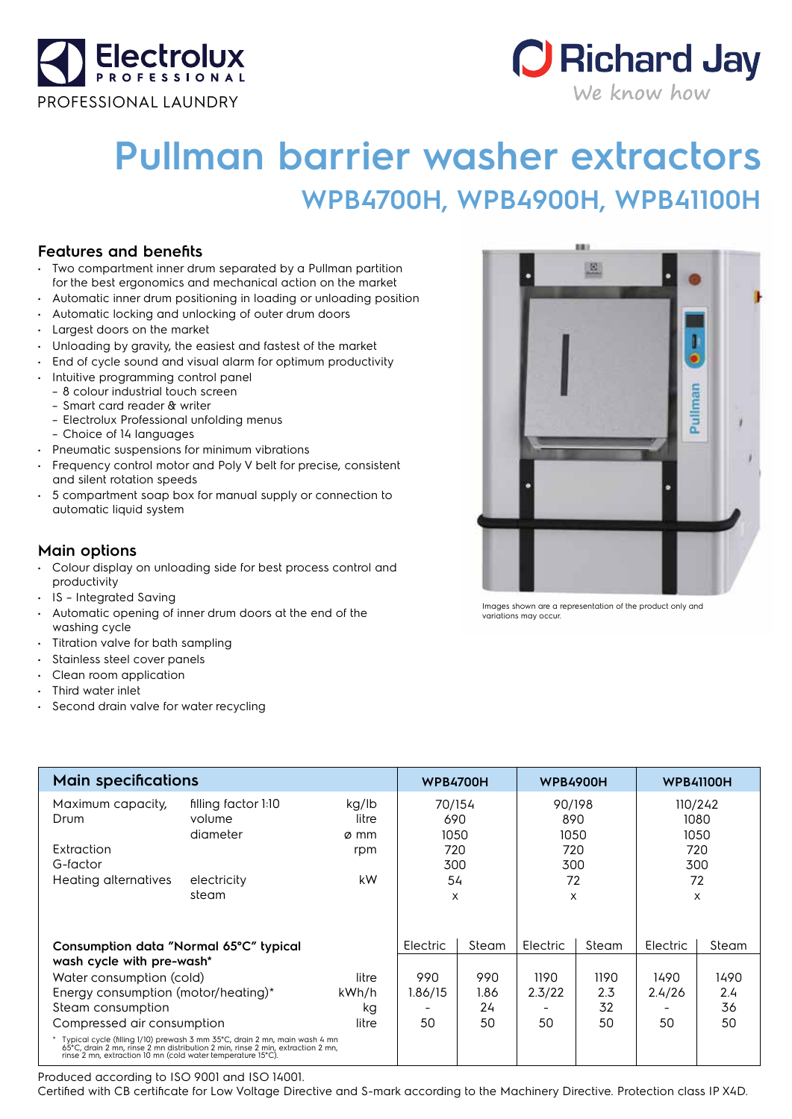



## **Pullman barrier washer extractors WPB4700H, WPB4900H, WPB41100H**

## **Features and benefits**

- Two compartment inner drum separated by a Pullman partition for the best ergonomics and mechanical action on the market
- Automatic inner drum positioning in loading or unloading position
- Automatic locking and unlocking of outer drum doors
- Largest doors on the market
- Unloading by gravity, the easiest and fastest of the market
- End of cycle sound and visual alarm for optimum productivity
- Intuitive programming control panel
- 8 colour industrial touch screen
- Smart card reader & writer
- Electrolux Professional unfolding menus
	- Choice of 14 languages
- Pneumatic suspensions for minimum vibrations
- Frequency control motor and Poly V belt for precise, consistent and silent rotation speeds
- 5 compartment soap box for manual supply or connection to automatic liquid system

## **Main options**

- Colour display on unloading side for best process control and productivity
- IS Integrated Saving
- Automatic opening of inner drum doors at the end of the washing cycle
- Titration valve for bath sampling
- Stainless steel cover panels
- Clean room application
- Third water inlet
- Second drain valve for water recycling

| <b>Main specifications</b>                                                                                                                                                                                                    |                                                                   |                                     | <b>WPB4700H</b>                                |                                  | <b>WPB4900H</b>                                |                                  | <b>WPB41100H</b>                 |                             |
|-------------------------------------------------------------------------------------------------------------------------------------------------------------------------------------------------------------------------------|-------------------------------------------------------------------|-------------------------------------|------------------------------------------------|----------------------------------|------------------------------------------------|----------------------------------|----------------------------------|-----------------------------|
| Maximum capacity,<br>Drum<br>Extraction<br>G-factor<br>Heating alternatives                                                                                                                                                   | filling factor 1:10<br>volume<br>diameter<br>electricity<br>steam | kg/lb<br>litre<br>ø mm<br>rpm<br>kW | 70/154<br>690<br>1050<br>720<br>300<br>54<br>X |                                  | 90/198<br>890<br>1050<br>720<br>300<br>72<br>X |                                  | 1050<br>300<br>72                | 110/242<br>1080<br>720<br>X |
| Consumption data "Normal 65°C" typical<br>wash cycle with pre-wash*<br>Water consumption (cold)<br>litre<br>Energy consumption (motor/heating)*<br>kWh/h<br>Steam consumption<br>kg<br>Compressed air consumption<br>litre    |                                                                   | Electric<br>990<br>1.86/15<br>50    | Steam<br>990<br>1.86<br>24<br>50               | Electric<br>1190<br>2.3/22<br>50 | Steam<br>1190<br>2.3<br>32<br>50               | Electric<br>1490<br>2.4/26<br>50 | Steam<br>1490<br>2.4<br>36<br>50 |                             |
| * Typical cycle (filling 1/10) prewash 3 mm 35°C, drain 2 mn, main wash 4 mn<br>65°C, drain 2 mn, rinse 2 mn distribution 2 min, rinse 2 min, extraction 2 mn,<br>rinse 2 mn, extraction 10 mn (cold water temperature 15°C). |                                                                   |                                     |                                                |                                  |                                                |                                  |                                  |                             |

Produced according to ISO 9001 and ISO 14001.

Certified with CB certificate for Low Voltage Directive and S-mark according to the Machinery Directive. Protection class IP X4D.



Images shown are a representation of the product only and variations may occur.